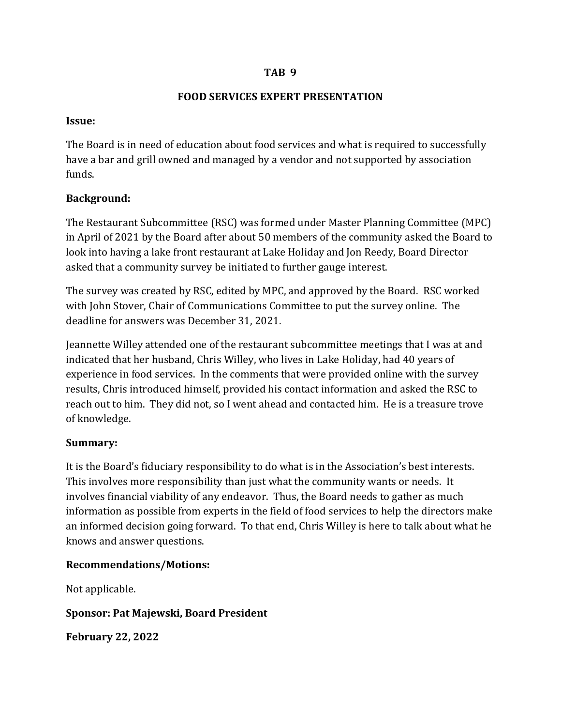#### **TAB 9**

#### **FOOD SERVICES EXPERT PRESENTATION**

#### **Issue:**

The Board is in need of education about food services and what is required to successfully have a bar and grill owned and managed by a vendor and not supported by association funds.

#### **Background:**

The Restaurant Subcommittee (RSC) was formed under Master Planning Committee (MPC) in April of 2021 by the Board after about 50 members of the community asked the Board to look into having a lake front restaurant at Lake Holiday and Jon Reedy, Board Director asked that a community survey be initiated to further gauge interest.

The survey was created by RSC, edited by MPC, and approved by the Board. RSC worked with John Stover, Chair of Communications Committee to put the survey online. The deadline for answers was December 31, 2021.

Jeannette Willey attended one of the restaurant subcommittee meetings that I was at and indicated that her husband, Chris Willey, who lives in Lake Holiday, had 40 years of experience in food services. In the comments that were provided online with the survey results, Chris introduced himself, provided his contact information and asked the RSC to reach out to him. They did not, so I went ahead and contacted him. He is a treasure trove of knowledge.

#### **Summary:**

It is the Board's fiduciary responsibility to do what is in the Association's best interests. This involves more responsibility than just what the community wants or needs. It involves financial viability of any endeavor. Thus, the Board needs to gather as much information as possible from experts in the field of food services to help the directors make an informed decision going forward. To that end, Chris Willey is here to talk about what he knows and answer questions.

#### **Recommendations/Motions:**

Not applicable.

#### **Sponsor: Pat Majewski, Board President**

**February 22, 2022**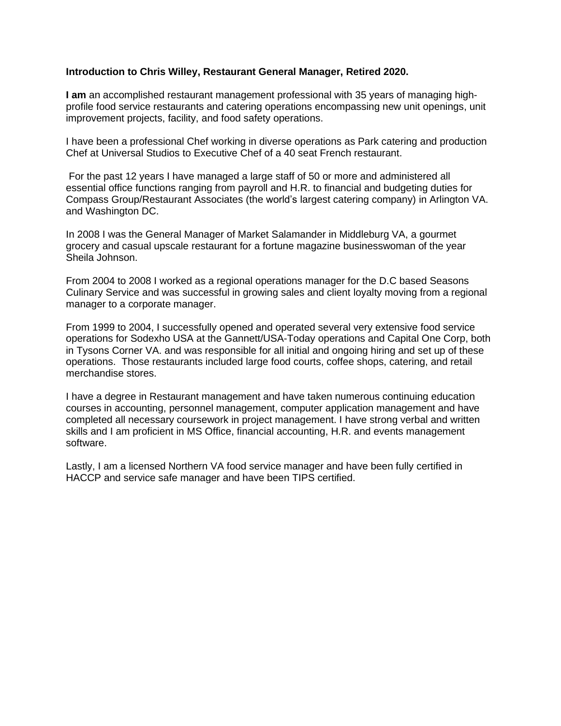#### **Introduction to Chris Willey, Restaurant General Manager, Retired 2020.**

**I am** an accomplished restaurant management professional with 35 years of managing highprofile food service restaurants and catering operations encompassing new unit openings, unit improvement projects, facility, and food safety operations.

I have been a professional Chef working in diverse operations as Park catering and production Chef at Universal Studios to Executive Chef of a 40 seat French restaurant.

For the past 12 years I have managed a large staff of 50 or more and administered all essential office functions ranging from payroll and H.R. to financial and budgeting duties for Compass Group/Restaurant Associates (the world's largest catering company) in Arlington VA. and Washington DC.

In 2008 I was the General Manager of Market Salamander in Middleburg VA, a gourmet grocery and casual upscale restaurant for a fortune magazine businesswoman of the year Sheila Johnson.

From 2004 to 2008 I worked as a regional operations manager for the D.C based Seasons Culinary Service and was successful in growing sales and client loyalty moving from a regional manager to a corporate manager.

From 1999 to 2004, I successfully opened and operated several very extensive food service operations for Sodexho USA at the Gannett/USA-Today operations and Capital One Corp, both in Tysons Corner VA. and was responsible for all initial and ongoing hiring and set up of these operations. Those restaurants included large food courts, coffee shops, catering, and retail merchandise stores.

I have a degree in Restaurant management and have taken numerous continuing education courses in accounting, personnel management, computer application management and have completed all necessary coursework in project management. I have strong verbal and written skills and I am proficient in MS Office, financial accounting, H.R. and events management software.

Lastly, I am a licensed Northern VA food service manager and have been fully certified in HACCP and service safe manager and have been TIPS certified.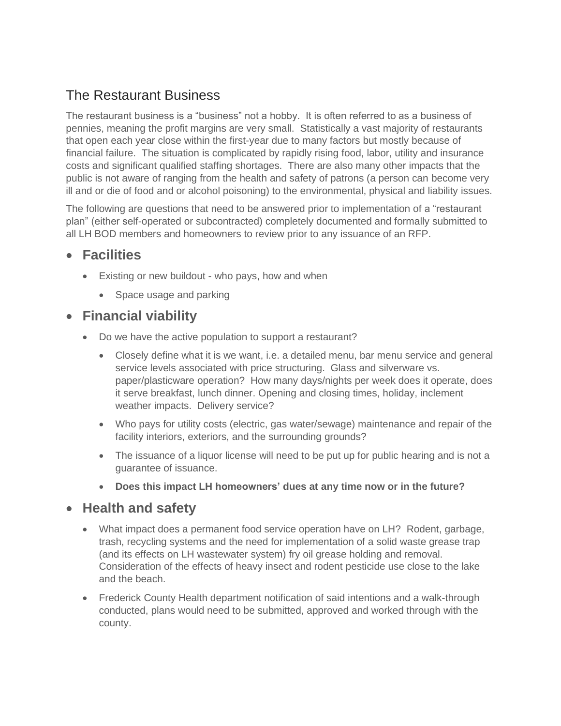# The Restaurant Business

The restaurant business is a "business" not a hobby. It is often referred to as a business of pennies, meaning the profit margins are very small. Statistically a vast majority of restaurants that open each year close within the first-year due to many factors but mostly because of financial failure. The situation is complicated by rapidly rising food, labor, utility and insurance costs and significant qualified staffing shortages. There are also many other impacts that the public is not aware of ranging from the health and safety of patrons (a person can become very ill and or die of food and or alcohol poisoning) to the environmental, physical and liability issues.

The following are questions that need to be answered prior to implementation of a "restaurant plan" (either self-operated or subcontracted) completely documented and formally submitted to all LH BOD members and homeowners to review prior to any issuance of an RFP.

## • **Facilities**

- Existing or new buildout who pays, how and when
	- Space usage and parking

## • **Financial viability**

- Do we have the active population to support a restaurant?
	- Closely define what it is we want, i.e. a detailed menu, bar menu service and general service levels associated with price structuring. Glass and silverware vs. paper/plasticware operation? How many days/nights per week does it operate, does it serve breakfast, lunch dinner. Opening and closing times, holiday, inclement weather impacts. Delivery service?
	- Who pays for utility costs (electric, gas water/sewage) maintenance and repair of the facility interiors, exteriors, and the surrounding grounds?
	- The issuance of a liquor license will need to be put up for public hearing and is not a guarantee of issuance.
	- **Does this impact LH homeowners' dues at any time now or in the future?**

## • **Health and safety**

- What impact does a permanent food service operation have on LH? Rodent, garbage, trash, recycling systems and the need for implementation of a solid waste grease trap (and its effects on LH wastewater system) fry oil grease holding and removal. Consideration of the effects of heavy insect and rodent pesticide use close to the lake and the beach.
- Frederick County Health department notification of said intentions and a walk-through conducted, plans would need to be submitted, approved and worked through with the county.